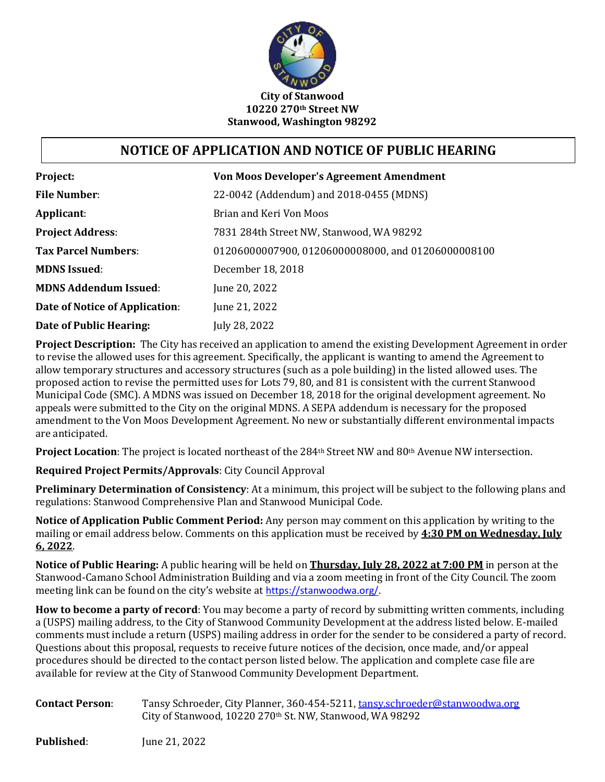

## **NOTICE OF APPLICATION AND NOTICE OF PUBLIC HEARING**

| Project:                       | <b>Von Moos Developer's Agreement Amendment</b>    |
|--------------------------------|----------------------------------------------------|
| <b>File Number:</b>            | 22-0042 (Addendum) and 2018-0455 (MDNS)            |
| Applicant:                     | Brian and Keri Von Moos                            |
| <b>Project Address:</b>        | 7831 284th Street NW, Stanwood, WA 98292           |
| <b>Tax Parcel Numbers:</b>     | 01206000007900, 01206000008000, and 01206000008100 |
| <b>MDNS Issued:</b>            | December 18, 2018                                  |
| <b>MDNS Addendum Issued:</b>   | June 20, 2022                                      |
| Date of Notice of Application: | June 21, 2022                                      |
| Date of Public Hearing:        | July 28, 2022                                      |

**Project Description:** The City has received an application to amend the existing Development Agreement in order to revise the allowed uses for this agreement. Specifically, the applicant is wanting to amend the Agreement to allow temporary structures and accessory structures (such as a pole building) in the listed allowed uses. The proposed action to revise the permitted uses for Lots 79, 80, and 81 is consistent with the current Stanwood Municipal Code (SMC). A MDNS was issued on December 18, 2018 for the original development agreement. No appeals were submitted to the City on the original MDNS. A SEPA addendum is necessary for the proposed amendment to the Von Moos Development Agreement. No new or substantially different environmental impacts are anticipated.

**Project Location**: The project is located northeast of the 284th Street NW and 80th Avenue NW intersection.

**Required Project Permits/Approvals**: City Council Approval

**Preliminary Determination of Consistency**: At a minimum, this project will be subject to the following plans and regulations: Stanwood Comprehensive Plan and Stanwood Municipal Code.

**Notice of Application Public Comment Period:** Any person may comment on this application by writing to the mailing or email address below. Comments on this application must be received by **4:30 PM on Wednesday, July 6, 2022**.

**Notice of Public Hearing:** A public hearing will be held on **Thursday, July 28, 2022 at 7:00 PM** in person at the Stanwood-Camano School Administration Building and via a zoom meeting in front of the City Council. The zoom meeting link can be found on the city's website at [https://stanwoodwa.org/.](https://stanwoodwa.org/)

**How to become a party of record**: You may become a party of record by submitting written comments, including a (USPS) mailing address, to the City of Stanwood Community Development at the address listed below. E-mailed comments must include a return (USPS) mailing address in order for the sender to be considered a party of record. Questions about this proposal, requests to receive future notices of the decision, once made, and/or appeal procedures should be directed to the contact person listed below. The application and complete case file are available for review at the City of Stanwood Community Development Department.

| <b>Contact Person:</b> | Tansy Schroeder, City Planner, 360-454-5211, tansy.schroeder@stanwoodwa.org |
|------------------------|-----------------------------------------------------------------------------|
|                        | City of Stanwood, 10220 270th St. NW, Stanwood, WA 98292                    |

**Published:** June 21, 2022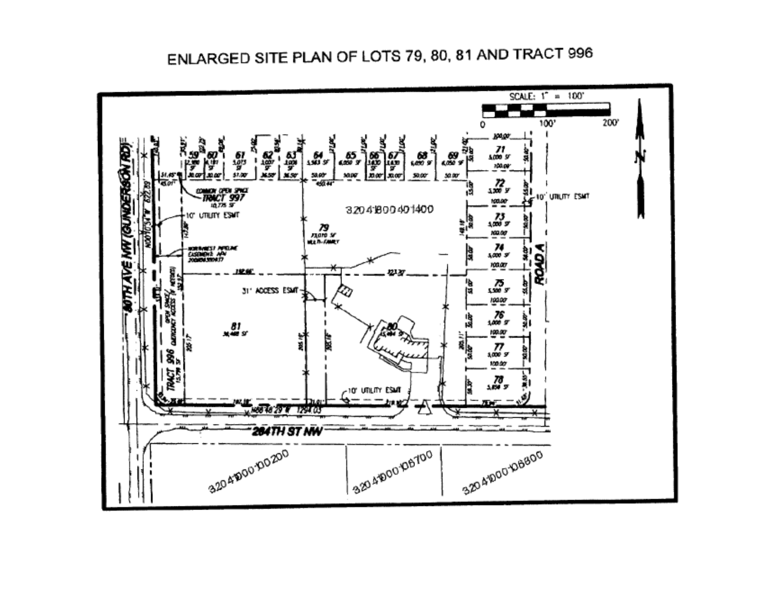